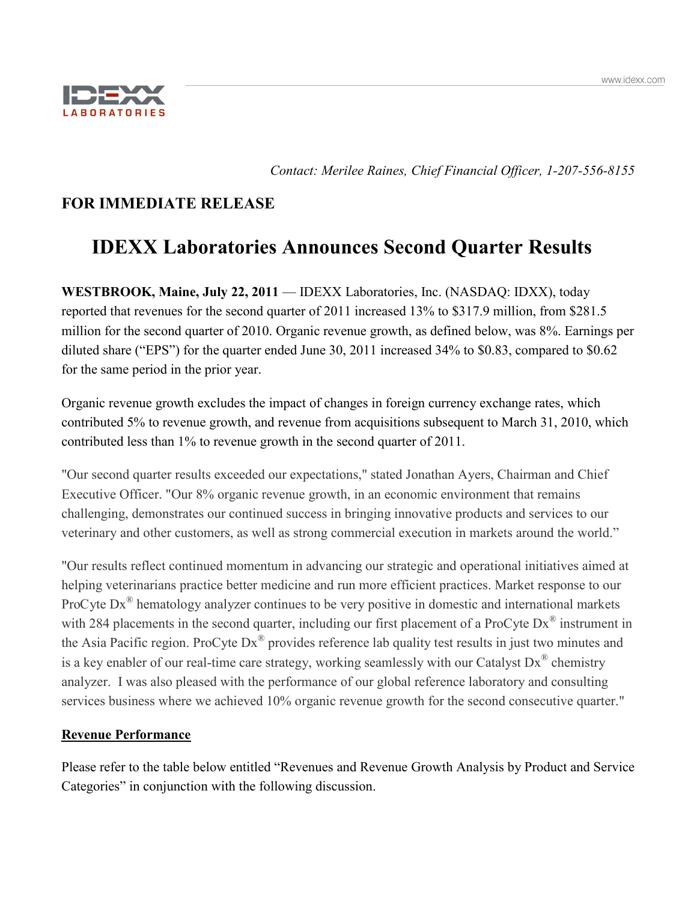

*Contact: Merilee Raines, Chief Financial Officer, 1-207-556-8155*

## **FOR IMMEDIATE RELEASE**

# **IDEXX Laboratories Announces Second Quarter Results**

**WESTBROOK, Maine, July 22, 2011** — IDEXX Laboratories, Inc. (NASDAQ: IDXX), today reported that revenues for the second quarter of 2011 increased 13% to \$317.9 million, from \$281.5 million for the second quarter of 2010. Organic revenue growth, as defined below, was 8%. Earnings per diluted share ("EPS") for the quarter ended June 30, 2011 increased 34% to \$0.83, compared to \$0.62 for the same period in the prior year.

Organic revenue growth excludes the impact of changes in foreign currency exchange rates, which contributed 5% to revenue growth, and revenue from acquisitions subsequent to March 31, 2010, which contributed less than 1% to revenue growth in the second quarter of 2011.

"Our second quarter results exceeded our expectations," stated Jonathan Ayers, Chairman and Chief Executive Officer. "Our 8% organic revenue growth, in an economic environment that remains challenging, demonstrates our continued success in bringing innovative products and services to our veterinary and other customers, as well as strong commercial execution in markets around the world."

"Our results reflect continued momentum in advancing our strategic and operational initiatives aimed at helping veterinarians practice better medicine and run more efficient practices. Market response to our ProCyte  $Dx^{\otimes}$  hematology analyzer continues to be very positive in domestic and international markets with 284 placements in the second quarter, including our first placement of a ProCyte Dx<sup>®</sup> instrument in the Asia Pacific region. ProCyte  $Dx^{\circledast}$  provides reference lab quality test results in just two minutes and is a key enabler of our real-time care strategy, working seamlessly with our Catalyst  $Dx^{\mathbb{R}}$  chemistry analyzer. I was also pleased with the performance of our global reference laboratory and consulting services business where we achieved 10% organic revenue growth for the second consecutive quarter."

## **Revenue Performance**

Please refer to the table below entitled "Revenues and Revenue Growth Analysis by Product and Service Categories" in conjunction with the following discussion.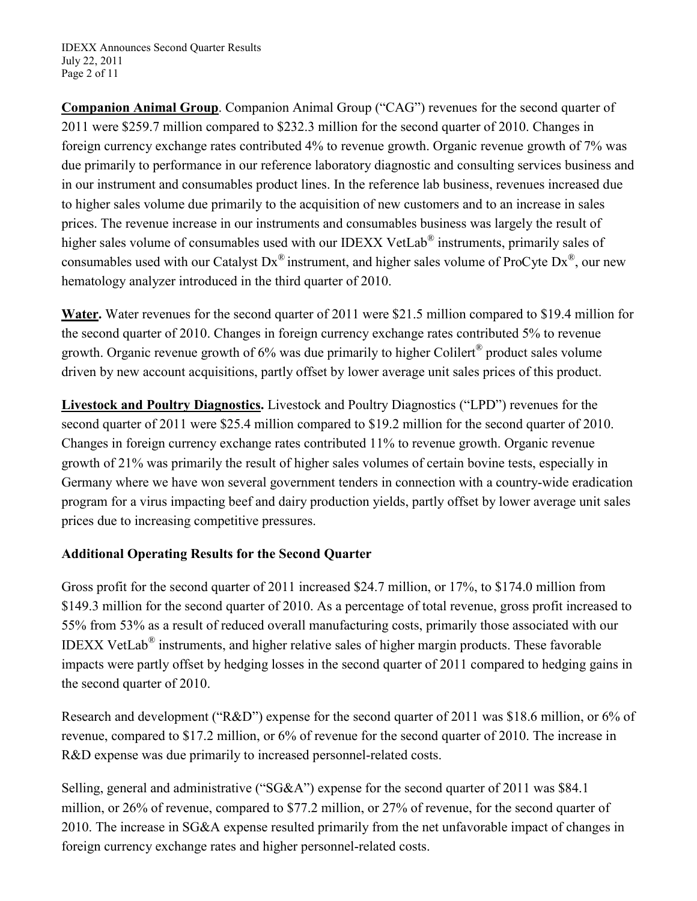**Companion Animal Group**. Companion Animal Group ("CAG") revenues for the second quarter of 2011 were \$259.7 million compared to \$232.3 million for the second quarter of 2010. Changes in foreign currency exchange rates contributed 4% to revenue growth. Organic revenue growth of 7% was due primarily to performance in our reference laboratory diagnostic and consulting services business and in our instrument and consumables product lines. In the reference lab business, revenues increased due to higher sales volume due primarily to the acquisition of new customers and to an increase in sales prices. The revenue increase in our instruments and consumables business was largely the result of higher sales volume of consumables used with our IDEXX VetLab® instruments, primarily sales of consumables used with our Catalyst  $Dx^{\mathcal{B}}$  instrument, and higher sales volume of ProCyte  $Dx^{\mathcal{B}}$ , our new hematology analyzer introduced in the third quarter of 2010.

**Water.** Water revenues for the second quarter of 2011 were \$21.5 million compared to \$19.4 million for the second quarter of 2010. Changes in foreign currency exchange rates contributed 5% to revenue growth. Organic revenue growth of  $6\%$  was due primarily to higher Colilert<sup>®</sup> product sales volume driven by new account acquisitions, partly offset by lower average unit sales prices of this product.

**Livestock and Poultry Diagnostics .** Livestock and Poultry Diagnostics ("LPD") revenues for the second quarter of 2011 were \$25.4 million compared to \$19.2 million for the second quarter of 2010. Changes in foreign currency exchange rates contributed 11% to revenue growth. Organic revenue growth of 21% was primarily the result of higher sales volumes of certain bovine tests, especially in Germany where we have won several government tenders in connection with a country-wide eradication program for a virus impacting beef and dairy production yields, partly offset by lower average unit sales prices due to increasing competitive pressures.

## **Additional Operating Results for the Second Quarter**

Gross profit for the second quarter of 2011 increased \$24.7 million, or 17%, to \$174.0 million from \$149.3 million for the second quarter of 2010. As a percentage of total revenue, gross profit increased to 55% from 53% as a result of reduced overall manufacturing costs, primarily those associated with our IDEXX VetLab® instruments, and higher relative sales of higher margin products. These favorable impacts were partly offset by hedging losses in the second quarter of 2011 compared to hedging gains in the second quarter of 2010.

Research and development ("R&D") expense for the second quarter of 2011 was \$18.6 million, or 6% of revenue, compared to \$17.2 million, or 6% of revenue for the second quarter of 2010. The increase in R&D expense was due primarily to increased personnel-related costs.

Selling, general and administrative ("SG&A") expense for the second quarter of 2011 was \$84.1 million, or 26% of revenue, compared to \$77.2 million, or 27% of revenue, for the second quarter of 2010. The increase in SG&A expense resulted primarily from the net unfavorable impact of changes in foreign currency exchange rates and higher personnel-related costs.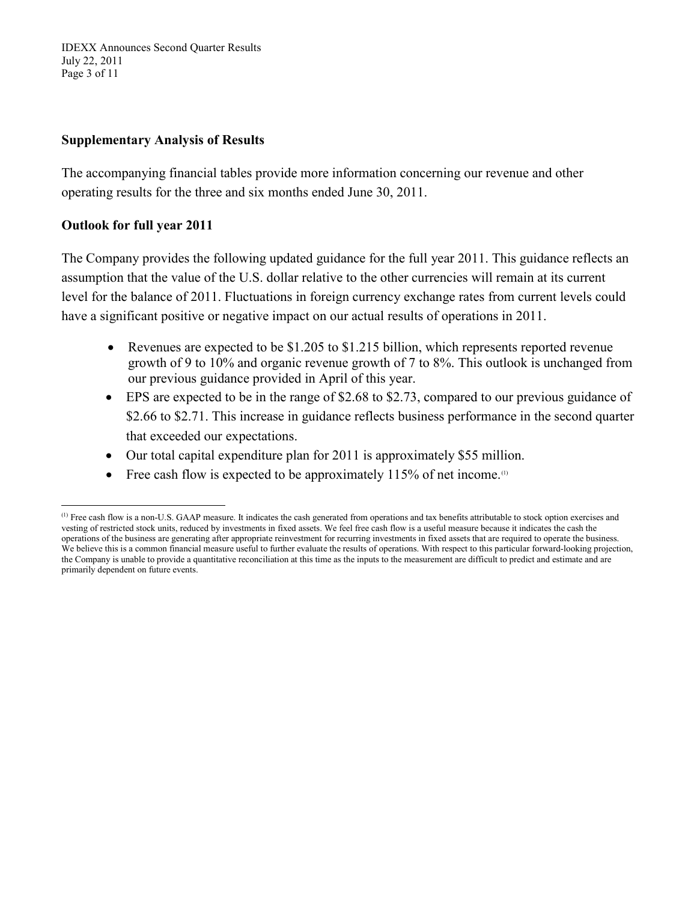IDEXX Announces Second Quarter Results July 22, 2011 Page 3 of 11

## **Supplementary Analysis of Results**

The accompanying financial tables provide more information concerning our revenue and other operating results for the three and six months ended June 30, 2011.

## **Outlook for full year 2011**

The Company provides the following updated guidance for the full year 2011. This guidance reflects an assumption that the value of the U.S. dollar relative to the other currencies will remain at its current level for the balance of 2011. Fluctuations in foreign currency exchange rates from current levels could have a significant positive or negative impact on our actual results of operations in 2011.

- Revenues are expected to be \$1.205 to \$1.215 billion, which represents reported revenue growth of 9 to 10% and organic revenue growth of 7 to 8%. This outlook is unchanged from our previous guidance provided in April of this year.
- EPS are expected to be in the range of \$2.68 to \$2.73, compared to our previous guidance of \$2.66 to \$2.71. This increase in guidance reflects business performance in the second quarter that exceeded our expectations.
- Our total capital expenditure plan for 2011 is approximately \$55 million.
- Free cash flow is expected to be approximately 115% of net income.<sup>[\(1\)](#page-2-0)</sup>

<span id="page-2-0"></span> <sup>(1)</sup> Free cash flow is a non-U.S. GAAP measure. It indicates the cash generated from operations and tax benefits attributable to stock option exercises and vesting of restricted stock units, reduced by investments in fixed assets. We feel free cash flow is a useful measure because it indicates the cash the operations of the business are generating after appropriate reinvestment for recurring investments in fixed assets that are required to operate the business. We believe this is a common financial measure useful to further evaluate the results of operations. With respect to this particular forward-looking projection, the Company is unable to provide a quantitative reconciliation at this time as the inputs to the measurement are difficult to predict and estimate and are primarily dependent on future events.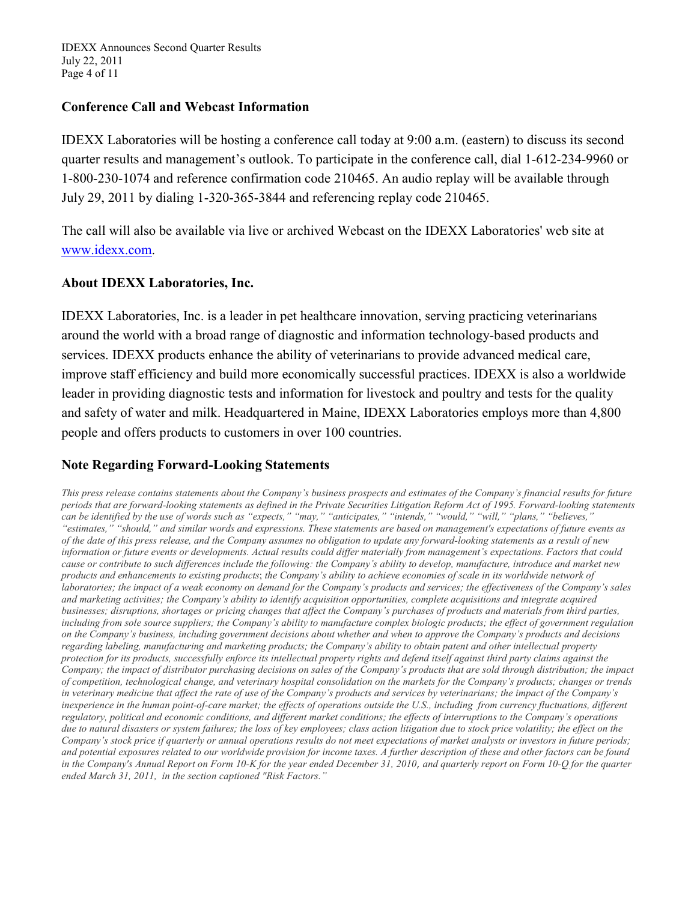IDEXX Announces Second Quarter Results July 22, 2011 Page 4 of 11

## **Conference Call and Webcast Information**

IDEXX Laboratories will be hosting a conference call today at 9:00 a.m. (eastern) to discuss its second quarter results and management's outlook. To participate in the conference call, dial 1-612-234-9960 or 1-800-230-1074 and reference confirmation code 210465. An audio replay will be available through July 29, 2011 by dialing 1-320-365-3844 and referencing replay code 210465.

The call will also be available via live or archived Webcast on the IDEXX Laboratories' web site at [www.idexx.com.](http://www.idexx.com/)

## **About IDEXX Laboratories, Inc.**

IDEXX Laboratories, Inc. is a leader in pet healthcare innovation, serving practicing veterinarians around the world with a broad range of diagnostic and information technology-based products and services. IDEXX products enhance the ability of veterinarians to provide advanced medical care, improve staff efficiency and build more economically successful practices. IDEXX is also a worldwide leader in providing diagnostic tests and information for livestock and poultry and tests for the quality and safety of water and milk. Headquartered in Maine, IDEXX Laboratories employs more than 4,800 people and offers products to customers in over 100 countries.

## **Note Regarding Forward-Looking Statements**

*This press release contains statements about the Company's business prospects and estimates of the Company's financial results for future periods that are forward-looking statements as defined in the Private Securities Litigation Reform Act of 1995. Forward-looking statements can be identified by the use of words such as "expects," "may," "anticipates," "intends," "would," "will," "plans," "believes," "estimates," "should," and similar words and expressions. These statements are based on management's expectations of future events as of the date of this press release, and the Company assumes no obligation to update any forward-looking statements as a result of new information or future events or developments. Actual results could differ materially from management's expectations. Factors that could cause or contribute to such differences include the following: the Company's ability to develop, manufacture, introduce and market new products and enhancements to existing products*; *the Company's ability to achieve economies of scale in its worldwide network of laboratories; the impact of a weak economy on demand for the Company's products and services; the effectiveness of the Company's sales and marketing activities; the Company's ability to identify acquisition opportunities, complete acquisitions and integrate acquired businesses; disruptions, shortages or pricing changes that affect the Company's purchases of products and materials from third parties, including from sole source suppliers; the Company's ability to manufacture complex biologic products; the effect of government regulation on the Company's business, including government decisions about whether and when to approve the Company's products and decisions regarding labeling, manufacturing and marketing products; the Company's ability to obtain patent and other intellectual property protection for its products, successfully enforce its intellectual property rights and defend itself against third party claims against the Company; the impact of distributor purchasing decisions on sales of the Company's products that are sold through distribution; the impact of competition, technological change, and veterinary hospital consolidation on the markets for the Company's products; changes or trends in veterinary medicine that affect the rate of use of the Company's products and services by veterinarians; the impact of the Company's inexperience in the human point-of-care market; the effects of operations outside the U.S., including from currency fluctuations, different regulatory, political and economic conditions, and different market conditions; the effects of interruptions to the Company's operations due to natural disasters or system failures; the loss of key employees; class action litigation due to stock price volatility; the effect on the Company's stock price if quarterly or annual operations results do not meet expectations of market analysts or investors in future periods; and potential exposures related to our worldwide provision for income taxes. A further description of these and other factors can be found in the Company's Annual Report on Form 10-K for the year ended December 31, 2010*, *and quarterly report on Form 10-Q for the quarter ended March 31, 2011, in the section captioned "Risk Factors."*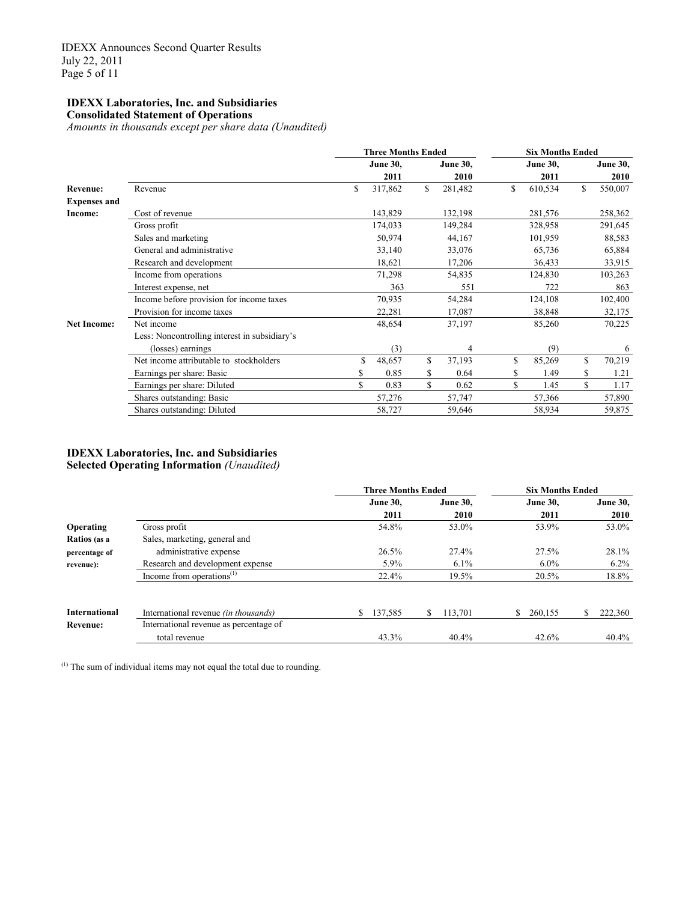#### **IDEXX Laboratories, Inc. and Subsidiaries Consolidated Statement of Operations**

*Amounts in thousands except per share data (Unaudited)*

|                     |                                               |    | <b>Three Months Ended</b> |                 | <b>Six Months Ended</b> |                 |    |                 |  |
|---------------------|-----------------------------------------------|----|---------------------------|-----------------|-------------------------|-----------------|----|-----------------|--|
|                     |                                               |    | <b>June 30,</b>           | <b>June 30,</b> |                         | <b>June 30,</b> |    | <b>June 30,</b> |  |
|                     |                                               |    | 2011                      | 2010            |                         | 2011            |    | 2010            |  |
| <b>Revenue:</b>     | Revenue                                       | \$ | 317,862                   | \$<br>281,482   | S                       | 610,534         | \$ | 550,007         |  |
| <b>Expenses and</b> |                                               |    |                           |                 |                         |                 |    |                 |  |
| Income:             | Cost of revenue                               |    | 143,829                   | 132,198         |                         | 281,576         |    | 258,362         |  |
|                     | Gross profit                                  |    | 174,033                   | 149,284         |                         | 328,958         |    | 291,645         |  |
|                     | Sales and marketing                           |    | 50,974                    | 44,167          |                         | 101,959         |    | 88,583          |  |
|                     | General and administrative                    |    | 33,140                    | 33,076          |                         | 65,736          |    | 65,884          |  |
|                     | Research and development                      |    | 18,621                    | 17,206          |                         | 36,433          |    | 33,915          |  |
|                     | Income from operations                        |    | 71,298                    | 54,835          |                         | 124,830         |    | 103,263         |  |
|                     | Interest expense, net                         |    | 363                       | 551             |                         | 722             |    | 863             |  |
|                     | Income before provision for income taxes      |    | 70,935                    | 54,284          |                         | 124,108         |    | 102,400         |  |
|                     | Provision for income taxes                    |    | 22,281                    | 17,087          |                         | 38,848          |    | 32,175          |  |
| <b>Net Income:</b>  | Net income                                    |    | 48,654                    | 37,197          |                         | 85,260          |    | 70,225          |  |
|                     | Less: Noncontrolling interest in subsidiary's |    |                           |                 |                         |                 |    |                 |  |
|                     | (losses) earnings                             |    | (3)                       | 4               |                         | (9)             |    | 6               |  |
|                     | Net income attributable to stockholders       | \$ | 48,657                    | \$<br>37,193    | \$                      | 85,269          | \$ | 70,219          |  |
|                     | Earnings per share: Basic                     | \$ | 0.85                      | \$<br>0.64      |                         | 1.49            | \$ | 1.21            |  |
|                     | Earnings per share: Diluted                   | \$ | 0.83                      | \$<br>0.62      | S                       | 1.45            | \$ | 1.17            |  |
|                     | Shares outstanding: Basic                     |    | 57,276                    | 57,747          |                         | 57,366          |    | 57,890          |  |
|                     | Shares outstanding: Diluted                   |    | 58,727                    | 59,646          |                         | 58,934          |    | 59,875          |  |

#### **IDEXX Laboratories, Inc. and Subsidiaries Selected Operating Information** *(Unaudited)*

|                      |                                             | <b>Three Months Ended</b> |                 | <b>Six Months Ended</b> |                 |
|----------------------|---------------------------------------------|---------------------------|-----------------|-------------------------|-----------------|
|                      |                                             | <b>June 30.</b>           | <b>June 30.</b> | <b>June 30.</b>         | <b>June 30,</b> |
|                      |                                             | 2011                      | 2010            | 2011                    | 2010            |
| <b>Operating</b>     | Gross profit                                | 54.8%                     | 53.0%           | 53.9%                   | 53.0%           |
| Ratios (as a         | Sales, marketing, general and               |                           |                 |                         |                 |
| percentage of        | administrative expense                      | 26.5%                     | 27.4%           | 27.5%                   | 28.1%           |
| revenue):            | Research and development expense            | 5.9%                      | 6.1%            | $6.0\%$                 | $6.2\%$         |
|                      | Income from operations $^{(1)}$             | 22.4%                     | 19.5%           | 20.5%                   | 18.8%           |
| <b>International</b> | International revenue <i>(in thousands)</i> | 137,585<br>S.             | 113,701<br>S.   | \$<br>260,155           | 222,360<br>\$   |
| <b>Revenue:</b>      | International revenue as percentage of      |                           |                 |                         |                 |
|                      | total revenue                               | 43.3%                     | 40.4%           | 42.6%                   | 40.4%           |

(1) The sum of individual items may not equal the total due to rounding.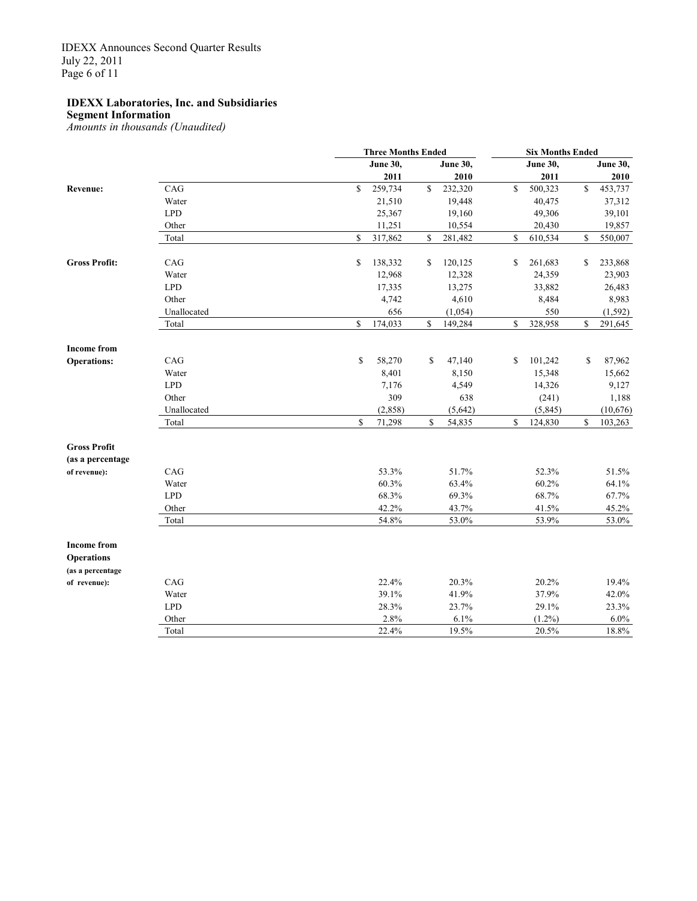IDEXX Announces Second Quarter Results July 22, 2011 Page 6 of 11

#### **IDEXX Laboratories, Inc. and Subsidiaries**

**Segment Information**

*Amounts in thousands (Unaudited)*

|                      |             |               | <b>Three Months Ended</b> |    |                 |             | <b>Six Months Ended</b> |               |                 |  |
|----------------------|-------------|---------------|---------------------------|----|-----------------|-------------|-------------------------|---------------|-----------------|--|
|                      |             |               | <b>June 30,</b>           |    | <b>June 30,</b> |             | <b>June 30,</b>         |               | <b>June 30,</b> |  |
|                      |             |               | 2011                      |    | 2010            |             | 2011                    |               | 2010            |  |
| <b>Revenue:</b>      | CAG         | $\mathbf S$   | 259,734                   | \$ | 232,320         | \$          | 500,323                 | $\mathsf{\$}$ | 453,737         |  |
|                      | Water       |               | 21,510                    |    | 19,448          |             | 40,475                  |               | 37,312          |  |
|                      | <b>LPD</b>  |               | 25,367                    |    | 19,160          |             | 49,306                  |               | 39,101          |  |
|                      | Other       |               | 11,251                    |    | 10,554          |             | 20,430                  |               | 19,857          |  |
|                      | Total       | $\mathbf S$   | 317,862                   | \$ | 281,482         | $\mathbf S$ | 610,534                 | \$            | 550,007         |  |
| <b>Gross Profit:</b> | CAG         | S             | 138,332                   | \$ | 120,125         | \$          | 261,683                 | \$            | 233,868         |  |
|                      | Water       |               | 12,968                    |    | 12,328          |             | 24,359                  |               | 23,903          |  |
|                      | <b>LPD</b>  |               | 17,335                    |    | 13,275          |             | 33,882                  |               | 26,483          |  |
|                      | Other       |               | 4,742                     |    | 4,610           |             | 8,484                   |               | 8,983           |  |
|                      | Unallocated |               | 656                       |    | (1,054)         |             | 550                     |               | (1, 592)        |  |
|                      | Total       | <sup>\$</sup> | 174,033                   | \$ | 149,284         | $\mathbf S$ | 328,958                 | <sup>\$</sup> | 291,645         |  |
| <b>Income from</b>   |             |               |                           |    |                 |             |                         |               |                 |  |
| <b>Operations:</b>   | CAG         | \$            | 58,270                    | \$ | 47,140          | \$          | 101,242                 | \$            | 87,962          |  |
|                      | Water       |               | 8,401                     |    | 8,150           |             | 15,348                  |               | 15,662          |  |
|                      | <b>LPD</b>  |               | 7,176                     |    | 4,549           |             | 14,326                  |               | 9,127           |  |
|                      | Other       |               | 309                       |    | 638             |             | (241)                   |               | 1,188           |  |
|                      | Unallocated |               | (2,858)                   |    | (5,642)         |             | (5, 845)                |               | (10,676)        |  |
|                      | Total       | \$            | 71,298                    | \$ | 54,835          | \$          | 124,830                 | \$            | 103,263         |  |
| <b>Gross Profit</b>  |             |               |                           |    |                 |             |                         |               |                 |  |
| (as a percentage     |             |               |                           |    |                 |             |                         |               |                 |  |
| of revenue):         | CAG         |               | 53.3%                     |    | 51.7%           |             | 52.3%                   |               | 51.5%           |  |
|                      | Water       |               | 60.3%                     |    | 63.4%           |             | 60.2%                   |               | 64.1%           |  |
|                      | <b>LPD</b>  |               | 68.3%                     |    | 69.3%           |             | 68.7%                   |               | 67.7%           |  |
|                      | Other       |               | 42.2%                     |    | 43.7%           |             | 41.5%                   |               | 45.2%           |  |
|                      | Total       |               | 54.8%                     |    | 53.0%           |             | 53.9%                   |               | 53.0%           |  |
| <b>Income from</b>   |             |               |                           |    |                 |             |                         |               |                 |  |
| <b>Operations</b>    |             |               |                           |    |                 |             |                         |               |                 |  |
| (as a percentage     |             |               |                           |    |                 |             |                         |               |                 |  |
| of revenue):         | CAG         |               | 22.4%                     |    | 20.3%           |             | 20.2%                   |               | 19.4%           |  |
|                      | Water       |               | 39.1%                     |    | 41.9%           |             | 37.9%                   |               | 42.0%           |  |
|                      | <b>LPD</b>  |               | 28.3%                     |    | 23.7%           |             | 29.1%                   |               | 23.3%           |  |
|                      | Other       |               | 2.8%                      |    | 6.1%            |             | $(1.2\%)$               |               | 6.0%            |  |
|                      | Total       |               | 22.4%                     |    | 19.5%           |             | 20.5%                   |               | 18.8%           |  |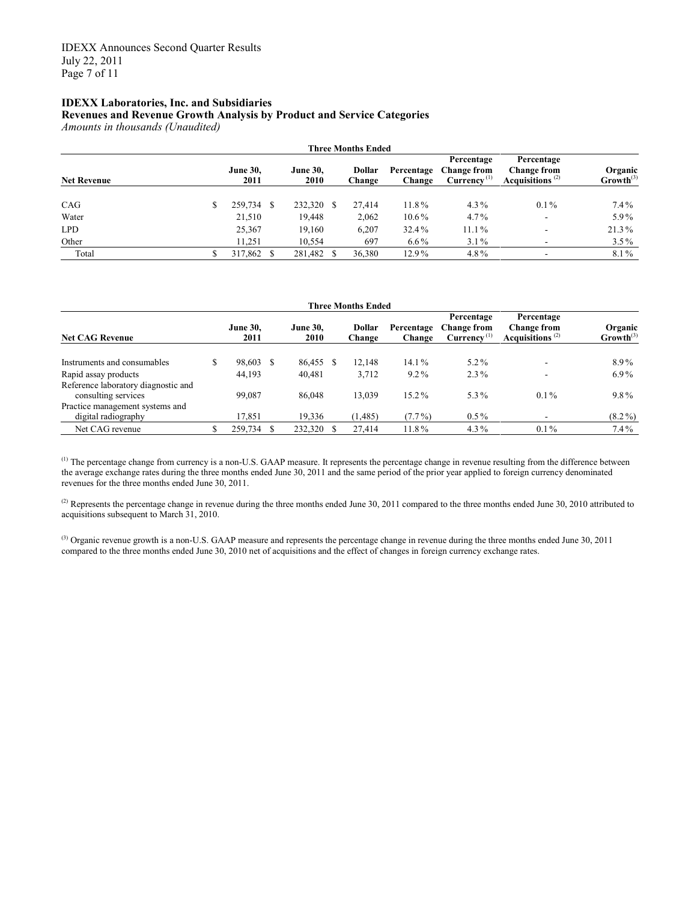#### **IDEXX Laboratories, Inc. and Subsidiaries**

**Revenues and Revenue Growth Analysis by Product and Service Categories**

*Amounts in thousands (Unaudited)*

|                    | <b>Three Months Ended</b> |                         |   |                         |    |                         |                      |                                                             |                                                                 |                           |  |  |
|--------------------|---------------------------|-------------------------|---|-------------------------|----|-------------------------|----------------------|-------------------------------------------------------------|-----------------------------------------------------------------|---------------------------|--|--|
| <b>Net Revenue</b> |                           | <b>June 30,</b><br>2011 |   | <b>June 30.</b><br>2010 |    | <b>Dollar</b><br>Change | Percentage<br>Change | Percentage<br><b>Change from</b><br>Currence <sup>(1)</sup> | Percentage<br><b>Change from</b><br>Acquisitions <sup>(2)</sup> | Organic<br>$Growth^{(3)}$ |  |  |
| CAG                | S.                        | 259,734                 | S | 232,320                 | -S | 27,414                  | $11.8\%$             | $4.3\%$                                                     | $0.1\%$                                                         | $7.4\%$                   |  |  |
| Water              |                           | 21,510                  |   | 19,448                  |    | 2,062                   | $10.6\%$             | $4.7\%$                                                     | $\overline{\phantom{a}}$                                        | 5.9%                      |  |  |
| <b>LPD</b>         |                           | 25,367                  |   | 19.160                  |    | 6,207                   | 32.4%                | $11.1\%$                                                    | ۰                                                               | $21.3\%$                  |  |  |
| Other              |                           | 11.251                  |   | 10,554                  |    | 697                     | $6.6\%$              | $3.1\%$                                                     |                                                                 | $3.5\%$                   |  |  |
| Total              |                           | 317,862                 |   | 281,482                 |    | 36,380                  | 12.9%                | $4.8\%$                                                     |                                                                 | $8.1\%$                   |  |  |

|                                                            | <b>Three Months Ended</b> |                         |   |                         |    |                         |                      |                                                             |                                                        |                           |  |  |
|------------------------------------------------------------|---------------------------|-------------------------|---|-------------------------|----|-------------------------|----------------------|-------------------------------------------------------------|--------------------------------------------------------|---------------------------|--|--|
| <b>Net CAG Revenue</b>                                     |                           | <b>June 30,</b><br>2011 |   | <b>June 30,</b><br>2010 |    | <b>Dollar</b><br>Change | Percentage<br>Change | Percentage<br><b>Change from</b><br>Currency <sup>(1)</sup> | Percentage<br><b>Change from</b><br>Acquisitions $(2)$ | Organic<br>$Growth^{(3)}$ |  |  |
| Instruments and consumables                                |                           | 98,603                  | S | 86,455                  | S. | 12,148                  | $14.1\%$             | $5.2\%$                                                     | -                                                      | 8.9%                      |  |  |
| Rapid assay products                                       |                           | 44,193                  |   | 40.481                  |    | 3,712                   | $9.2\%$              | $2.3\%$                                                     |                                                        | $6.9\%$                   |  |  |
| Reference laboratory diagnostic and<br>consulting services |                           | 99,087                  |   | 86.048                  |    | 13.039                  | $15.2\%$             | 5.3%                                                        | $0.1\%$                                                | 9.8%                      |  |  |
| Practice management systems and<br>digital radiography     |                           | 17,851                  |   | 19,336                  |    | (1, 485)                | $(7.7\%)$            | $0.5\%$                                                     |                                                        | $(8.2\%)$                 |  |  |
| Net CAG revenue                                            |                           | 259,734                 |   | 232,320                 |    | 27.414                  | 11.8%                | $4.3\%$                                                     | $0.1\%$                                                | $7.4\%$                   |  |  |

<sup>(1)</sup> The percentage change from currency is a non-U.S. GAAP measure. It represents the percentage change in revenue resulting from the difference between the average exchange rates during the three months ended June 30, 2011 and the same period of the prior year applied to foreign currency denominated revenues for the three months ended June 30, 2011.

 $^{(2)}$  Represents the percentage change in revenue during the three months ended June 30, 2011 compared to the three months ended June 30, 2010 attributed to acquisitions subsequent to March 31, 2010.

<sup>(3)</sup> Organic revenue growth is a non-U.S. GAAP measure and represents the percentage change in revenue during the three months ended June 30, 2011 compared to the three months ended June 30, 2010 net of acquisitions and the effect of changes in foreign currency exchange rates.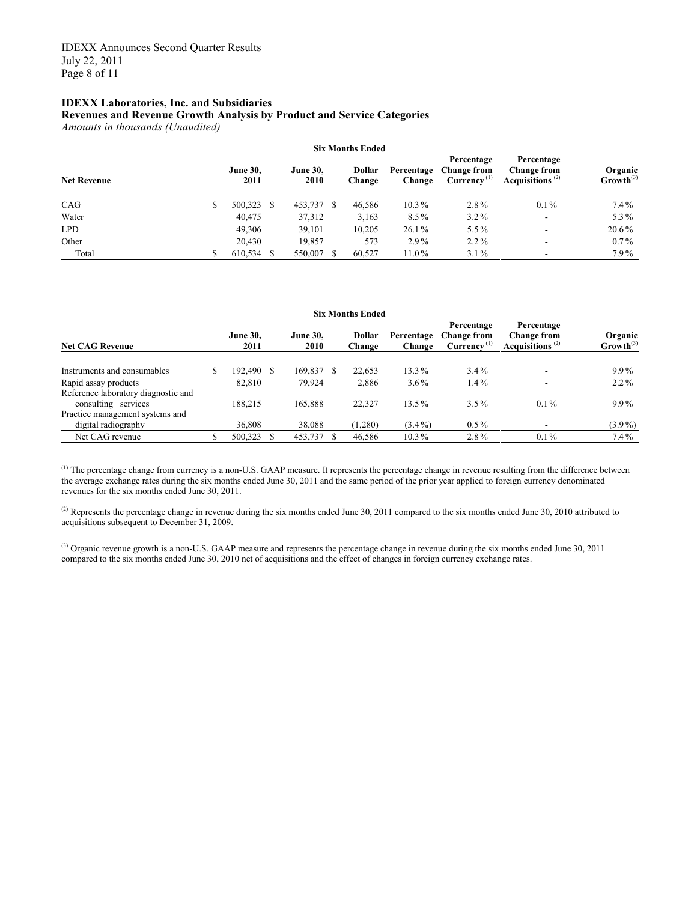#### **IDEXX Laboratories, Inc. and Subsidiaries**

**Revenues and Revenue Growth Analysis by Product and Service Categories**

*Amounts in thousands (Unaudited)*

|                    | <b>Six Months Ended</b> |                         |   |                         |     |                  |                      |                                                             |                                                                 |                           |  |  |
|--------------------|-------------------------|-------------------------|---|-------------------------|-----|------------------|----------------------|-------------------------------------------------------------|-----------------------------------------------------------------|---------------------------|--|--|
| <b>Net Revenue</b> |                         | <b>June 30,</b><br>2011 |   | <b>June 30,</b><br>2010 |     | Dollar<br>Change | Percentage<br>Change | Percentage<br><b>Change from</b><br>Currence <sup>(1)</sup> | Percentage<br><b>Change from</b><br>Acquisitions <sup>(2)</sup> | Organic<br>$Growth^{(3)}$ |  |  |
| CAG                | S                       | 500,323                 | S | 453,737                 | - S | 46,586           | $10.3\%$             | 2.8%                                                        | $0.1\%$                                                         | $7.4\%$                   |  |  |
| Water              |                         | 40.475                  |   | 37,312                  |     | 3,163            | $8.5\%$              | $3.2\%$                                                     |                                                                 | 5.3%                      |  |  |
| <b>LPD</b>         |                         | 49.306                  |   | 39,101                  |     | 10,205           | $26.1\%$             | $5.5\%$                                                     | -                                                               | $20.6\%$                  |  |  |
| Other              |                         | 20,430                  |   | 19.857                  |     | 573              | $2.9\%$              | $2.2\%$                                                     |                                                                 | $0.7\%$                   |  |  |
| Total              |                         | 610,534                 |   | 550,007                 |     | 60,527           | 11.0%                | $3.1\%$                                                     |                                                                 | 7.9%                      |  |  |

|                                                            | <b>Six Months Ended</b> |                                                    |   |                  |                      |                                                               |                                                                 |                           |         |           |  |  |  |
|------------------------------------------------------------|-------------------------|----------------------------------------------------|---|------------------|----------------------|---------------------------------------------------------------|-----------------------------------------------------------------|---------------------------|---------|-----------|--|--|--|
| <b>Net CAG Revenue</b>                                     |                         | <b>June 30,</b><br><b>June 30,</b><br>2011<br>2010 |   | Dollar<br>Change | Percentage<br>Change | Percentage<br><b>Change from</b><br>$Curreney$ <sup>(1)</sup> | Percentage<br><b>Change from</b><br>Acquisitions <sup>(2)</sup> | Organic<br>$Growth^{(3)}$ |         |           |  |  |  |
| Instruments and consumables                                |                         | 192,490                                            | S | 169,837          |                      | 22,653                                                        | 13.3%                                                           | $3.4\%$                   |         | 9.9%      |  |  |  |
| Rapid assay products                                       |                         | 82,810                                             |   | 79.924           |                      | 2,886                                                         | $3.6\%$                                                         | $1.4\%$                   |         | $2.2\%$   |  |  |  |
| Reference laboratory diagnostic and<br>consulting services |                         | 188.215                                            |   | 165,888          |                      | 22,327                                                        | 13.5%                                                           | $3.5\%$                   | $0.1\%$ | 9.9%      |  |  |  |
| Practice management systems and<br>digital radiography     |                         | 36,808                                             |   | 38,088           |                      | (1,280)                                                       | $(3.4\%)$                                                       | $0.5\%$                   |         | $(3.9\%)$ |  |  |  |
| Net CAG revenue                                            |                         | 500,323                                            |   | 453,737          |                      | 46,586                                                        | $10.3\%$                                                        | $2.8\%$                   | $0.1\%$ | $7.4\%$   |  |  |  |

(1) The percentage change from currency is a non-U.S. GAAP measure. It represents the percentage change in revenue resulting from the difference between the average exchange rates during the six months ended June 30, 2011 and the same period of the prior year applied to foreign currency denominated revenues for the six months ended June 30, 2011.

(2) Represents the percentage change in revenue during the six months ended June 30, 2011 compared to the six months ended June 30, 2010 attributed to acquisitions subsequent to December 31, 2009.

<sup>(3)</sup> Organic revenue growth is a non-U.S. GAAP measure and represents the percentage change in revenue during the six months ended June 30, 2011 compared to the six months ended June 30, 2010 net of acquisitions and the effect of changes in foreign currency exchange rates.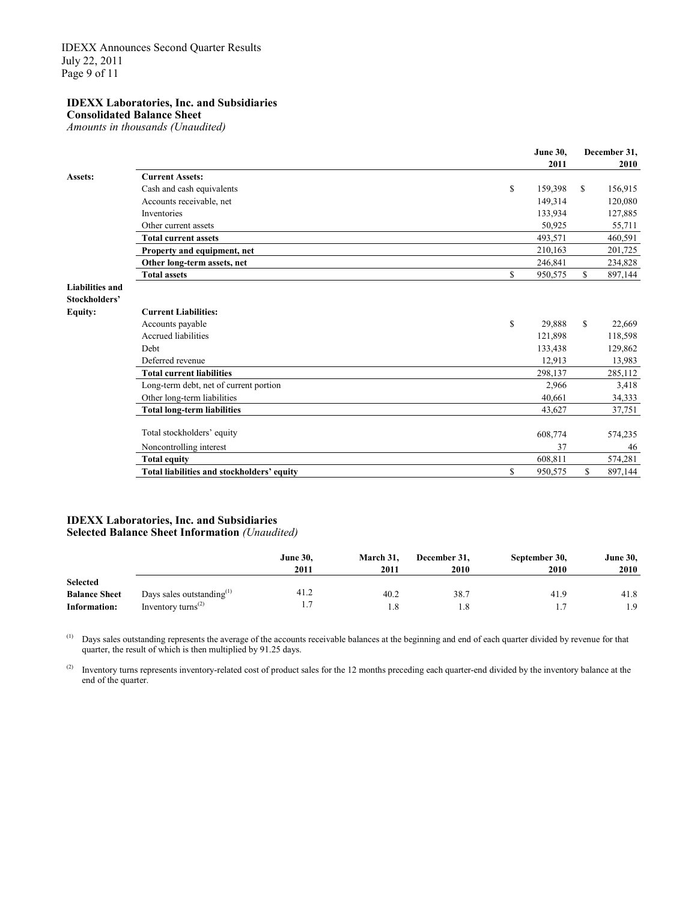IDEXX Announces Second Quarter Results July 22, 2011 Page 9 of 11

#### **IDEXX Laboratories, Inc. and Subsidiaries**

**Consolidated Balance Sheet**

*Amounts in thousands (Unaudited)*

|                        |                                            | <b>June 30,</b> | December 31, |         |  |
|------------------------|--------------------------------------------|-----------------|--------------|---------|--|
|                        |                                            | 2011            |              | 2010    |  |
| Assets:                | <b>Current Assets:</b>                     |                 |              |         |  |
|                        | Cash and cash equivalents                  | \$<br>159,398   | \$           | 156,915 |  |
|                        | Accounts receivable, net                   | 149,314         |              | 120,080 |  |
|                        | Inventories                                | 133,934         |              | 127,885 |  |
|                        | Other current assets                       | 50,925          |              | 55,711  |  |
|                        | <b>Total current assets</b>                | 493,571         |              | 460,591 |  |
|                        | Property and equipment, net                | 210,163         |              | 201,725 |  |
|                        | Other long-term assets, net                | 246,841         |              | 234,828 |  |
|                        | <b>Total assets</b>                        | \$<br>950,575   | S.           | 897,144 |  |
| <b>Liabilities and</b> |                                            |                 |              |         |  |
| Stockholders'          |                                            |                 |              |         |  |
| <b>Equity:</b>         | <b>Current Liabilities:</b>                |                 |              |         |  |
|                        | Accounts payable                           | \$<br>29,888    | \$           | 22,669  |  |
|                        | Accrued liabilities                        | 121,898         |              | 118,598 |  |
|                        | Debt                                       | 133,438         |              | 129,862 |  |
|                        | Deferred revenue                           | 12,913          |              | 13,983  |  |
|                        | <b>Total current liabilities</b>           | 298,137         |              | 285,112 |  |
|                        | Long-term debt, net of current portion     | 2,966           |              | 3,418   |  |
|                        | Other long-term liabilities                | 40,661          |              | 34,333  |  |
|                        | <b>Total long-term liabilities</b>         | 43,627          |              | 37,751  |  |
|                        | Total stockholders' equity                 | 608,774         |              | 574,235 |  |
|                        | Noncontrolling interest                    | 37              |              | 46      |  |
|                        | <b>Total equity</b>                        | 608,811         |              | 574,281 |  |
|                        | Total liabilities and stockholders' equity | \$<br>950,575   | S            | 897,144 |  |
|                        |                                            |                 |              |         |  |

#### **IDEXX Laboratories, Inc. and Subsidiaries Selected Balance Sheet Information** *(Unaudited)*

|                      |                                             | <b>June 30,</b><br>2011 | March 31,<br>2011 | December 31.<br>2010 | September 30,<br>2010 | <b>June 30,</b><br>2010 |
|----------------------|---------------------------------------------|-------------------------|-------------------|----------------------|-----------------------|-------------------------|
| <b>Selected</b>      |                                             |                         |                   |                      |                       |                         |
| <b>Balance Sheet</b> | Days sales outstanding $(1)$                | 41.2                    | 40.2              | 38.7                 | 41.9                  | 41.8                    |
| Information:         | Inventory turns <sup><math>(2)</math></sup> |                         |                   |                      |                       | 1.9                     |

 $(1)$  Days sales outstanding represents the average of the accounts receivable balances at the beginning and end of each quarter divided by revenue for that quarter, the result of which is then multiplied by 91.25 days.

<sup>(2)</sup> Inventory turns represents inventory-related cost of product sales for the 12 months preceding each quarter-end divided by the inventory balance at the end of the quarter.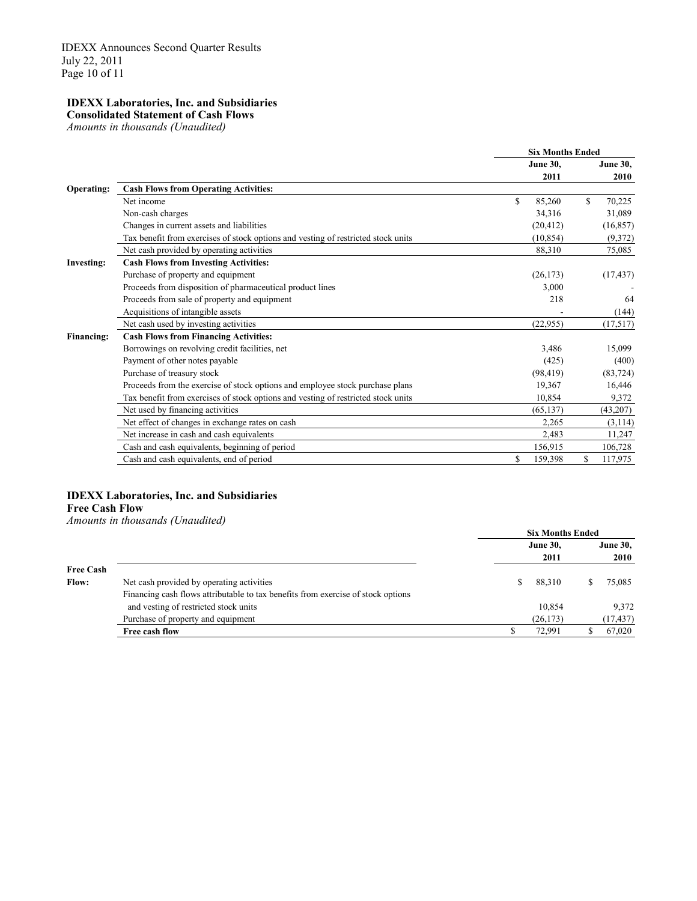#### **IDEXX Laboratories, Inc. and Subsidiaries Consolidated Statement of Cash Flows**

*Amounts in thousands (Unaudited)*

|                   |                                                                                   |     | <b>Six Months Ended</b> |     |                 |
|-------------------|-----------------------------------------------------------------------------------|-----|-------------------------|-----|-----------------|
|                   |                                                                                   |     | <b>June 30,</b>         |     | <b>June 30,</b> |
|                   |                                                                                   |     | 2011                    |     | 2010            |
| Operating:        | <b>Cash Flows from Operating Activities:</b>                                      |     |                         |     |                 |
|                   | Net income                                                                        | \$. | 85,260                  | \$. | 70,225          |
|                   | Non-cash charges                                                                  |     | 34,316                  |     | 31,089          |
|                   | Changes in current assets and liabilities                                         |     | (20, 412)               |     | (16, 857)       |
|                   | Tax benefit from exercises of stock options and vesting of restricted stock units |     | (10, 854)               |     | (9,372)         |
|                   | Net cash provided by operating activities                                         |     | 88,310                  |     | 75,085          |
| <b>Investing:</b> | <b>Cash Flows from Investing Activities:</b>                                      |     |                         |     |                 |
|                   | Purchase of property and equipment                                                |     | (26, 173)               |     | (17, 437)       |
|                   | Proceeds from disposition of pharmaceutical product lines                         |     | 3,000                   |     |                 |
|                   | Proceeds from sale of property and equipment                                      |     | 218                     |     | 64              |
|                   | Acquisitions of intangible assets                                                 |     |                         |     | (144)           |
|                   | Net cash used by investing activities                                             |     | (22.955)                |     | (17,517)        |
| <b>Financing:</b> | <b>Cash Flows from Financing Activities:</b>                                      |     |                         |     |                 |
|                   | Borrowings on revolving credit facilities, net                                    |     | 3,486                   |     | 15,099          |
|                   | Payment of other notes payable                                                    |     | (425)                   |     | (400)           |
|                   | Purchase of treasury stock                                                        |     | (98, 419)               |     | (83, 724)       |
|                   | Proceeds from the exercise of stock options and employee stock purchase plans     |     | 19,367                  |     | 16,446          |
|                   | Tax benefit from exercises of stock options and vesting of restricted stock units |     | 10.854                  |     | 9,372           |
|                   | Net used by financing activities                                                  |     | (65, 137)               |     | (43,207)        |
|                   | Net effect of changes in exchange rates on cash                                   |     | 2,265                   |     | (3, 114)        |
|                   | Net increase in cash and cash equivalents                                         |     | 2.483                   |     | 11,247          |
|                   | Cash and cash equivalents, beginning of period                                    |     | 156,915                 |     | 106,728         |
|                   | Cash and cash equivalents, end of period                                          | \$  | 159,398                 | \$  | 117,975         |

#### **IDEXX Laboratories, Inc. and Subsidiaries**

**Free Cash Flow**

*Amounts in thousands (Unaudited)*

|                  |                                                                                  | <b>Six Months Ended</b> |                         |
|------------------|----------------------------------------------------------------------------------|-------------------------|-------------------------|
|                  |                                                                                  | <b>June 30,</b><br>2011 | <b>June 30,</b><br>2010 |
| <b>Free Cash</b> |                                                                                  |                         |                         |
| <b>Flow:</b>     | Net cash provided by operating activities                                        | 88.310                  | 75,085                  |
|                  | Financing cash flows attributable to tax benefits from exercise of stock options |                         |                         |
|                  | and vesting of restricted stock units                                            | 10,854                  | 9,372                   |
|                  | Purchase of property and equipment                                               | (26, 173)               | (17, 437)               |
|                  | Free cash flow                                                                   | 72,991                  | 67,020                  |